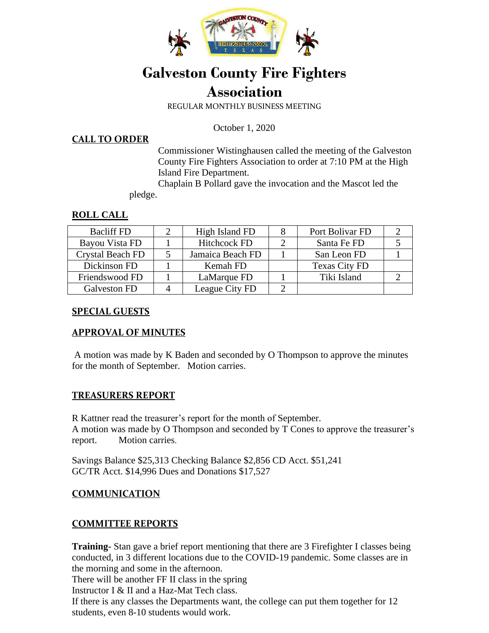

# **Galveston County Fire Fighters Association**

REGULAR MONTHLY BUSINESS MEETING

October 1, 2020

#### **CALL TO ORDER**

Commissioner Wistinghausen called the meeting of the Galveston County Fire Fighters Association to order at 7:10 PM at the High Island Fire Department.

 Chaplain B Pollard gave the invocation and the Mascot led the pledge.

#### **ROLL CALL**

| <b>Bacliff FD</b>       | High Island FD      | Port Bolivar FD      |  |
|-------------------------|---------------------|----------------------|--|
| Bayou Vista FD          | <b>Hitchcock FD</b> | Santa Fe FD          |  |
| <b>Crystal Beach FD</b> | Jamaica Beach FD    | San Leon FD          |  |
| Dickinson FD            | Kemah FD            | <b>Texas City FD</b> |  |
| Friendswood FD          | LaMarque FD         | Tiki Island          |  |
| Galveston FD            | League City FD      |                      |  |

#### **SPECIAL GUESTS**

# **APPROVAL OF MINUTES**

A motion was made by K Baden and seconded by O Thompson to approve the minutes for the month of September. Motion carries.

# **TREASURERS REPORT**

R Kattner read the treasurer's report for the month of September. A motion was made by O Thompson and seconded by T Cones to approve the treasurer's report. Motion carries.

Savings Balance \$25,313 Checking Balance \$2,856 CD Acct. \$51,241 GC/TR Acct. \$14,996 Dues and Donations \$17,527

# **COMMUNICATION**

# **COMMITTEE REPORTS**

**Training-** Stan gave a brief report mentioning that there are 3 Firefighter I classes being conducted, in 3 different locations due to the COVID-19 pandemic. Some classes are in the morning and some in the afternoon.

There will be another FF II class in the spring

Instructor I & II and a Haz-Mat Tech class.

If there is any classes the Departments want, the college can put them together for 12 students, even 8-10 students would work.